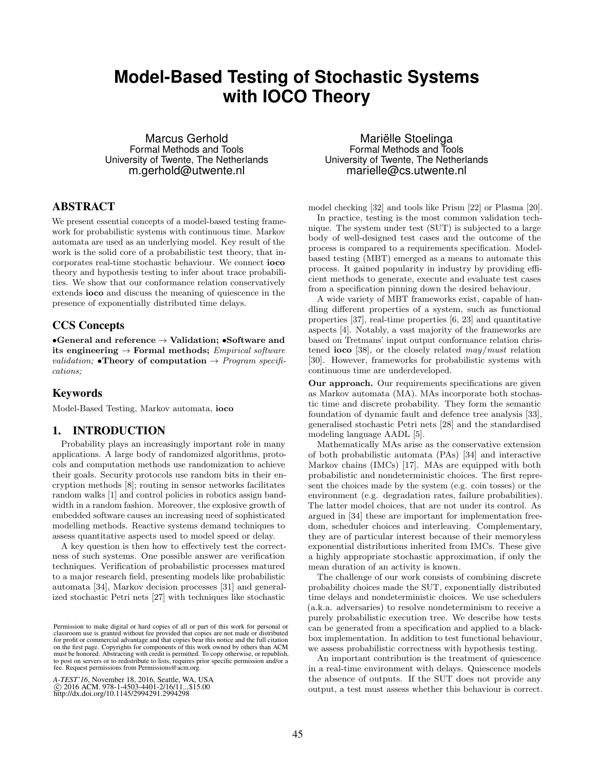# **Model-Based Testing of Stochastic Systems with IOCO Theory**

Marcus Gerhold Formal Methods and Tools University of Twente, The Netherlands m.gerhold@utwente.nl

# ABSTRACT

We present essential concepts of a model-based testing framework for probabilistic systems with continuous time. Markov automata are used as an underlying model. Key result of the work is the solid core of a probabilistic test theory, that incorporates real-time stochastic behaviour. We connect ioco theory and hypothesis testing to infer about trace probabilities. We show that our conformance relation conservatively extends ioco and discuss the meaning of quiescence in the presence of exponentially distributed time delays.

## CCS Concepts

•General and reference  $\rightarrow$  Validation; •Software and its engineering  $\rightarrow$  Formal methods; *Empirical software* validation; •Theory of computation  $\rightarrow$  Program specifications;

# Keywords

Model-Based Testing, Markov automata, ioco

# 1. INTRODUCTION

Probability plays an increasingly important role in many applications. A large body of randomized algorithms, protocols and computation methods use randomization to achieve their goals. Security protocols use random bits in their encryption methods [8]; routing in sensor networks facilitates random walks [1] and control policies in robotics assign bandwidth in a random fashion. Moreover, the explosive growth of embedded software causes an increasing need of sophisticated modelling methods. Reactive systems demand techniques to assess quantitative aspects used to model speed or delay.

A key question is then how to effectively test the correctness of such systems. One possible answer are verification techniques. Verification of probabilistic processes matured to a major research field, presenting models like probabilistic automata [34], Markov decision processes [31] and generalized stochastic Petri nets [27] with techniques like stochastic

*A-TEST'16*, November 18, 2016, Seattle, WA, USA © 2016 ACM. 978-1-4503-4401-2/16/11...\$15.00 http://dx.doi.org/10.1145/2994291.2994298

Mariëlle Stoelinga Formal Methods and Tools University of Twente, The Netherlands marielle@cs.utwente.nl

model checking [32] and tools like Prism [22] or Plasma [20].

In practice, testing is the most common validation technique. The system under test (SUT) is subjected to a large body of well-designed test cases and the outcome of the process is compared to a requirements specification. Modelbased testing (MBT) emerged as a means to automate this process. It gained popularity in industry by providing efficient methods to generate, execute and evaluate test cases from a specification pinning down the desired behaviour.

A wide variety of MBT frameworks exist, capable of handling different properties of a system, such as functional properties [37], real-time properties [6, 23] and quantitative aspects [4]. Notably, a vast majority of the frameworks are based on Tretmans' input output conformance relation christened **ioco** [38], or the closely related  $may/must$  relation [30]. However, frameworks for probabilistic systems with continuous time are underdeveloped.

Our approach. Our requirements specifications are given as Markov automata (MA). MAs incorporate both stochastic time and discrete probability. They form the semantic foundation of dynamic fault and defence tree analysis [33], generalised stochastic Petri nets [28] and the standardised modeling language AADL [5].

Mathematically MAs arise as the conservative extension of both probabilistic automata (PAs) [34] and interactive Markov chains (IMCs) [17]. MAs are equipped with both probabilistic and nondeterministic choices. The first represent the choices made by the system (e.g. coin tosses) or the environment (e.g. degradation rates, failure probabilities). The latter model choices, that are not under its control. As argued in [34] these are important for implementation freedom, scheduler choices and interleaving. Complementary, they are of particular interest because of their memoryless exponential distributions inherited from IMCs. These give a highly appropriate stochastic approximation, if only the mean duration of an activity is known.

The challenge of our work consists of combining discrete probability choices made the SUT, exponentially distributed time delays and nondeterministic choices. We use schedulers (a.k.a. adversaries) to resolve nondeterminism to receive a purely probabilistic execution tree. We describe how tests can be generated from a specification and applied to a blackbox implementation. In addition to test functional behaviour, we assess probabilistic correctness with hypothesis testing.

An important contribution is the treatment of quiescence in a real-time environment with delays. Quiescence models the absence of outputs. If the SUT does not provide any output, a test must assess whether this behaviour is correct.

Permission to make digital or hard copies of all or part of this work for personal or classroom use is granted without fee provided that copies are not made or distributed for profit or commercial advantage and that copies bear this notice and the full citation on the first page. Copyrights for components of this work owned by others than ACM must be honored. Abstracting with credit is permitted. To copy otherwise, or republish, to post on servers or to redistribute to lists, requires prior specific permission and/or a fee. Request permissions from Permissions@acm.org.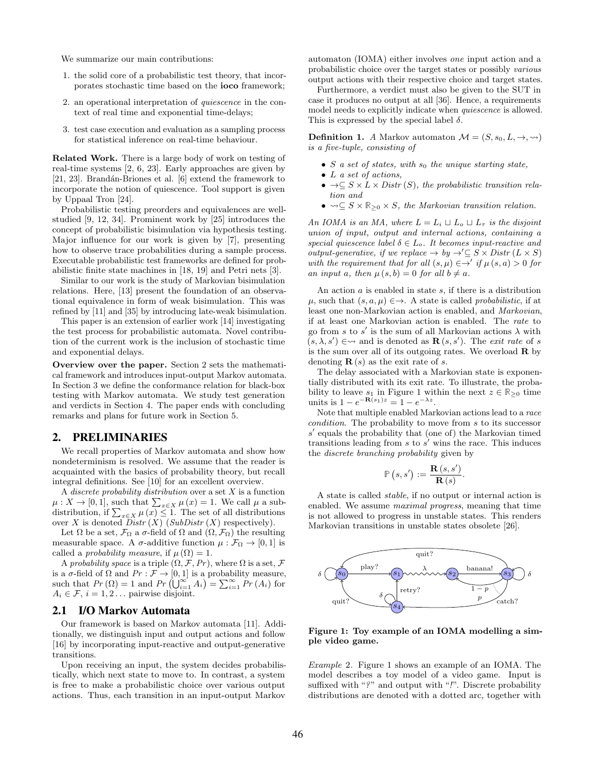We summarize our main contributions:

- 1. the solid core of a probabilistic test theory, that incorporates stochastic time based on the ioco framework;
- 2. an operational interpretation of quiescence in the context of real time and exponential time-delays;
- 3. test case execution and evaluation as a sampling process for statistical inference on real-time behaviour.

Related Work. There is a large body of work on testing of real-time systems [2, 6, 23]. Early approaches are given by [21, 23]. Brandán-Briones et al.  $[6]$  extend the framework to incorporate the notion of quiescence. Tool support is given by Uppaal Tron [24].

Probabilistic testing preorders and equivalences are wellstudied [9, 12, 34]. Prominent work by [25] introduces the concept of probabilistic bisimulation via hypothesis testing. Major influence for our work is given by [7], presenting how to observe trace probabilities during a sample process. Executable probabilistic test frameworks are defined for probabilistic finite state machines in [18, 19] and Petri nets [3].

Similar to our work is the study of Markovian bisimulation relations. Here, [13] present the foundation of an observational equivalence in form of weak bisimulation. This was refined by [11] and [35] by introducing late-weak bisimulation.

This paper is an extension of earlier work [14] investigating the test process for probabilistic automata. Novel contribution of the current work is the inclusion of stochastic time and exponential delays.

Overview over the paper. Section 2 sets the mathematical framework and introduces input-output Markov automata. In Section 3 we define the conformance relation for black-box testing with Markov automata. We study test generation and verdicts in Section 4. The paper ends with concluding remarks and plans for future work in Section 5.

#### 2. PRELIMINARIES

We recall properties of Markov automata and show how nondeterminism is resolved. We assume that the reader is acquainted with the basics of probability theory, but recall integral definitions. See [10] for an excellent overview.

A discrete probability distribution over a set  $X$  is a function  $\mu: X \to [0, 1]$ , such that  $\sum_{x \in X} \mu(x) = 1$ . We call  $\mu$  a subdistribution, if  $\sum_{x \in X} \mu(x) \leq 1$ . The set of all distributions over X is denoted  $Distr(X)$  (SubDistr  $(X)$  respectively).

Let  $\Omega$  be a set,  $\mathcal{F}_{\Omega}$  a  $\sigma$ -field of  $\Omega$  and  $(\Omega, \mathcal{F}_{\Omega})$  the resulting measurable space. A  $\sigma$ -additive function  $\mu : \mathcal{F}_{\Omega} \to [0, 1]$  is called a *probability measure*, if  $\mu(\Omega) = 1$ .

A probability space is a triple  $(\Omega, \mathcal{F}, Pr)$ , where  $\Omega$  is a set,  $\mathcal{F}$ is a  $\sigma$ -field of  $\Omega$  and  $Pr : \mathcal{F} \to [0, 1]$  is a probability measure, such that  $Pr(\Omega) = 1$  and  $Pr(\bigcup_{i=1}^{\infty} A_i) = \sum_{i=1}^{\infty} Pr(A_i)$  for  $A_i \in \mathcal{F}, i = 1, 2 \dots$  pairwise disjoint.

### 2.1 I/O Markov Automata

Our framework is based on Markov automata [11]. Additionally, we distinguish input and output actions and follow [16] by incorporating input-reactive and output-generative transitions.

Upon receiving an input, the system decides probabilistically, which next state to move to. In contrast, a system is free to make a probabilistic choice over various output actions. Thus, each transition in an input-output Markov

automaton (IOMA) either involves one input action and a probabilistic choice over the target states or possibly various output actions with their respective choice and target states.

Furthermore, a verdict must also be given to the SUT in case it produces no output at all [36]. Hence, a requirements model needs to explicitly indicate when *quiescence* is allowed. This is expressed by the special label  $\delta$ .

**Definition 1.** A Markov automaton  $\mathcal{M} = (S, s_0, L, \rightarrow, \rightsquigarrow)$ is a five-tuple, consisting of

- S a set of states, with  $s_0$  the unique starting state,
- L a set of actions,
- $\bullet \rightarrow \subseteq S \times L \times Distr(S)$ , the probabilistic transition relation and
- $\rightsquigarrow \subseteq S \times \mathbb{R}_{\geq 0} \times S$ , the Markovian transition relation.

An IOMA is an MA, where  $L = L_i \sqcup L_o \sqcup L_\tau$  is the disjoint union of input, output and internal actions, containing a special quiescence label  $\delta \in L_o$ . It becomes input-reactive and *output-generative, if we replace*  $\rightarrow$  *by*  $\rightarrow' \subseteq S \times Distr$  (*L* × *S*) with the requirement that for all  $(s, \mu) \in \rightarrow'$  if  $\mu(s, a) > 0$  for an input a, then  $\mu(s, b) = 0$  for all  $b \neq a$ .

An action  $a$  is enabled in state  $s$ , if there is a distribution  $\mu$ , such that  $(s, a, \mu) \in \rightarrow$ . A state is called probabilistic, if at least one non-Markovian action is enabled, and Markovian, if at least one Markovian action is enabled. The rate to go from s to s' is the sum of all Markovian actions  $\lambda$  with  $(s, \lambda, s') \in \leadsto$  and is denoted as  $\mathbf{R}(s, s')$ . The exit rate of s is the sum over all of its outgoing rates. We overload  $\bf{R}$  by denoting  $\mathbf{R}(s)$  as the exit rate of s.

The delay associated with a Markovian state is exponentially distributed with its exit rate. To illustrate, the probability to leave  $s_1$  in Figure 1 within the next  $z \in \mathbb{R}_{\geq 0}$  time units is  $1 - e^{-\mathbf{R}(s_1)z} = 1 - e^{-\lambda z}$ .

Note that multiple enabled Markovian actions lead to a race condition. The probability to move from s to its successor s' equals the probability that (one of) the Markovian timed transitions leading from  $s$  to  $s'$  wins the race. This induces the discrete branching probability given by

$$
\mathbb{P}(s,s') := \frac{\mathbf{R}(s,s')}{\mathbf{R}(s)}.
$$

A state is called stable, if no output or internal action is enabled. We assume maximal progress, meaning that time is not allowed to progress in unstable states. This renders Markovian transitions in unstable states obsolete [26].



Figure 1: Toy example of an IOMA modelling a simple video game.

Example 2. Figure 1 shows an example of an IOMA. The model describes a toy model of a video game. Input is suffixed with "?" and output with "!". Discrete probability distributions are denoted with a dotted arc, together with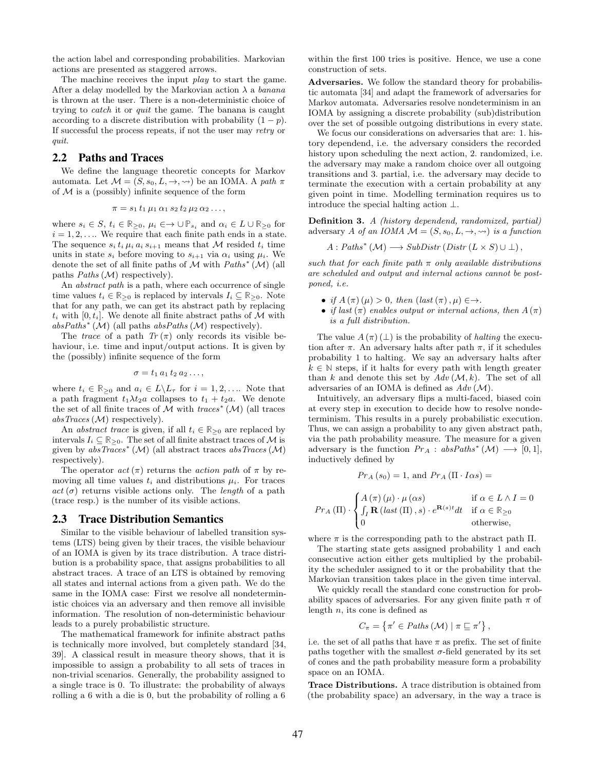the action label and corresponding probabilities. Markovian actions are presented as staggered arrows.

The machine receives the input *play* to start the game. After a delay modelled by the Markovian action  $\lambda$  a banana is thrown at the user. There is a non-deterministic choice of trying to catch it or quit the game. The banana is caught according to a discrete distribution with probability  $(1 - p)$ . If successful the process repeats, if not the user may retry or quit.

## 2.2 Paths and Traces

We define the language theoretic concepts for Markov automata. Let  $\mathcal{M} = (S, s_0, L, \rightarrow, \rightsquigarrow)$  be an IOMA. A path  $\pi$ of  $M$  is a (possibly) infinite sequence of the form

$$
\pi = s_1 \, t_1 \, \mu_1 \, \alpha_1 \, s_2 \, t_2 \, \mu_2 \, \alpha_2 \, \dots,
$$

where  $s_i \in S$ ,  $t_i \in \mathbb{R}_{\geq 0}$ ,  $\mu_i \in \to \cup \mathbb{P}_{s_i}$  and  $\alpha_i \in L \cup \mathbb{R}_{\geq 0}$  for  $i = 1, 2, \ldots$  We require that each finite path ends in a state. The sequence  $s_i t_i \mu_i a_i s_{i+1}$  means that M resided  $t_i$  time units in state  $s_i$  before moving to  $s_{i+1}$  via  $\alpha_i$  using  $\mu_i$ . We denote the set of all finite paths of  $\mathcal M$  with  $Paths^*(\mathcal M)$  (all paths  $Paths (M)$  respectively).

An *abstract path* is a path, where each occurrence of single time values  $t_i \in \mathbb{R}_{\geq 0}$  is replaced by intervals  $I_i \subseteq \mathbb{R}_{\geq 0}$ . Note that for any path, we can get its abstract path by replacing  $t_i$  with [0,  $t_i$ ]. We denote all finite abstract paths of M with  $absPaths^*(\mathcal{M})$  (all paths  $absPaths(\mathcal{M})$  respectively).

The trace of a path  $Tr(\pi)$  only records its visible behaviour, i.e. time and input/output actions. It is given by the (possibly) infinite sequence of the form

$$
\sigma = t_1 \, a_1 \, t_2 \, a_2 \ldots,
$$

where  $t_i \in \mathbb{R}_{\geq 0}$  and  $a_i \in L \backslash L_{\tau}$  for  $i = 1, 2, \ldots$  Note that a path fragment  $t_1\lambda t_2a$  collapses to  $t_1 + t_2a$ . We denote the set of all finite traces of  $\overline{\mathcal{M}}$  with  $traces^{\ast}(\mathcal{M})$  (all traces  $absTraces(M)$  respectively).

An *abstract trace* is given, if all  $t_i \in \mathbb{R}_{\geq 0}$  are replaced by intervals  $I_i \subseteq \mathbb{R}_{\geq 0}$ . The set of all finite abstract traces of  $\mathcal M$  is given by  $absTraces^*(\mathcal{M})$  (all abstract traces  $absTraces(\mathcal{M})$ respectively).

The operator  $act(\pi)$  returns the *action path* of  $\pi$  by removing all time values  $t_i$  and distributions  $\mu_i$ . For traces  $act(\sigma)$  returns visible actions only. The *length* of a path (trace resp.) is the number of its visible actions.

#### 2.3 Trace Distribution Semantics

Similar to the visible behaviour of labelled transition systems (LTS) being given by their traces, the visible behaviour of an IOMA is given by its trace distribution. A trace distribution is a probability space, that assigns probabilities to all abstract traces. A trace of an LTS is obtained by removing all states and internal actions from a given path. We do the same in the IOMA case: First we resolve all nondeterministic choices via an adversary and then remove all invisible information. The resolution of non-deterministic behaviour leads to a purely probabilistic structure.

The mathematical framework for infinite abstract paths is technically more involved, but completely standard [34, 39]. A classical result in measure theory shows, that it is impossible to assign a probability to all sets of traces in non-trivial scenarios. Generally, the probability assigned to a single trace is 0. To illustrate: the probability of always rolling a 6 with a die is 0, but the probability of rolling a 6 within the first 100 tries is positive. Hence, we use a cone construction of sets.

Adversaries. We follow the standard theory for probabilistic automata [34] and adapt the framework of adversaries for Markov automata. Adversaries resolve nondeterminism in an IOMA by assigning a discrete probability (sub)distribution over the set of possible outgoing distributions in every state.

We focus our considerations on adversaries that are: 1. history dependend, i.e. the adversary considers the recorded history upon scheduling the next action, 2. randomized, i.e. the adversary may make a random choice over all outgoing transitions and 3. partial, i.e. the adversary may decide to terminate the execution with a certain probability at any given point in time. Modelling termination requires us to introduce the special halting action ⊥.

Definition 3. A (history dependend, randomized, partial) adversary A of an IOMA  $\mathcal{M} = (S, s_0, L, \rightarrow, \rightsquigarrow)$  is a function

$$
A: Paths^* (\mathcal{M}) \longrightarrow SubDistr (Distr (L \times S) \cup \bot),
$$

such that for each finite path  $\pi$  only available distributions are scheduled and output and internal actions cannot be postponed, i.e.

- if  $A(\pi)(\mu) > 0$ , then  $(\text{last}(\pi), \mu) \in \rightarrow$ .
- if last  $(\pi)$  enables output or internal actions, then  $A(\pi)$ is a full distribution.

The value  $A(\pi) (\perp)$  is the probability of *halting* the execution after  $\pi$ . An adversary halts after path  $\pi$ , if it schedules probability 1 to halting. We say an adversary halts after  $k \in \mathbb{N}$  steps, if it halts for every path with length greater than k and denote this set by  $Adv(\mathcal{M}, k)$ . The set of all adversaries of an IOMA is defined as  $Adv(\mathcal{M})$ .

Intuitively, an adversary flips a multi-faced, biased coin at every step in execution to decide how to resolve nondeterminism. This results in a purely probabilistic execution. Thus, we can assign a probability to any given abstract path, via the path probability measure. The measure for a given adversary is the function  $Pr_A : absPaths^*(\mathcal{M}) \longrightarrow [0,1],$ inductively defined by

$$
Pr_A(s_0) = 1
$$
, and  $Pr_A(\Pi \cdot I \alpha s) =$ 

$$
Pr_A(\Pi) \cdot \begin{cases} A(\pi) (\mu) \cdot \mu(\alpha s) & \text{if } \alpha \in L \wedge I = 0 \\ \int_I \mathbf{R} (\text{last}(\Pi), s) \cdot e^{\mathbf{R}(s)t} dt & \text{if } \alpha \in \mathbb{R}_{\geq 0} \\ 0 & \text{otherwise,} \end{cases}
$$

where  $\pi$  is the corresponding path to the abstract path  $\Pi$ .

The starting state gets assigned probability 1 and each consecutive action either gets multiplied by the probability the scheduler assigned to it or the probability that the Markovian transition takes place in the given time interval.

We quickly recall the standard cone construction for probability spaces of adversaries. For any given finite path  $\pi$  of length  $n$ , its cone is defined as

$$
C_{\pi} = \left\{ \pi' \in Paths\left(\mathcal{M}\right) \mid \pi \sqsubseteq \pi' \right\},\
$$

i.e. the set of all paths that have  $\pi$  as prefix. The set of finite paths together with the smallest  $\sigma$ -field generated by its set of cones and the path probability measure form a probability space on an IOMA.

Trace Distributions. A trace distribution is obtained from (the probability space) an adversary, in the way a trace is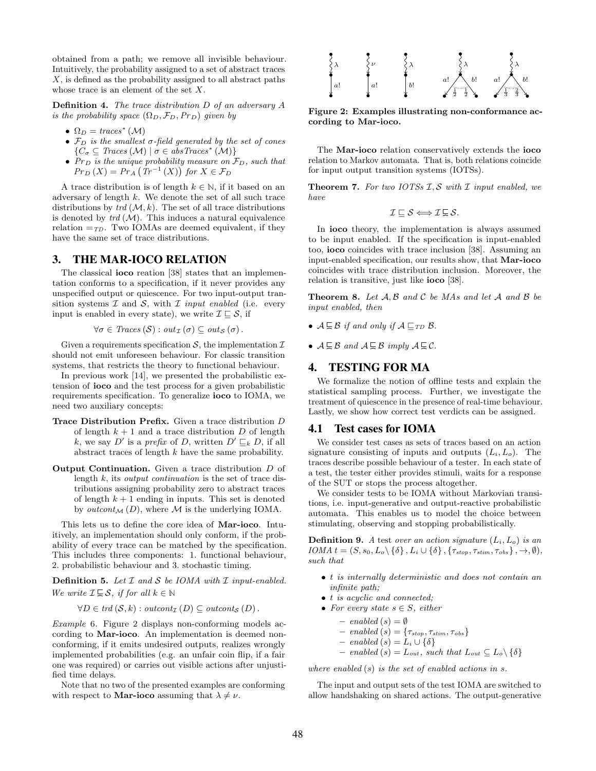obtained from a path; we remove all invisible behaviour. Intuitively, the probability assigned to a set of abstract traces X, is defined as the probability assigned to all abstract paths whose trace is an element of the set X.

Definition 4. The trace distribution D of an adversary A is the probability space  $(\Omega_D, \mathcal{F}_D, Pr_D)$  given by

- $\Omega_D = \text{traces}^*(\mathcal{M})$
- $\mathcal{F}_D$  is the smallest  $\sigma$ -field generated by the set of cones  $\{C_{\sigma} \subseteq Traces(M) \mid \sigma \in absTraces^*(M)\}\$
- $Pr_D$  is the unique probability measure on  $\mathcal{F}_D$ , such that  $Pr_D(X) = Pr_A(Tr^{-1}(X))$  for  $X \in \mathcal{F}_D$

A trace distribution is of length  $k \in \mathbb{N}$ , if it based on an adversary of length  $k$ . We denote the set of all such trace distributions by  $trd(\mathcal{M}, k)$ . The set of all trace distributions is denoted by  $trd(\mathcal{M})$ . This induces a natural equivalence relation  $=\tau_D$ . Two IOMAs are deemed equivalent, if they have the same set of trace distributions.

## 3. THE MAR-IOCO RELATION

The classical ioco reation [38] states that an implementation conforms to a specification, if it never provides any unspecified output or quiescence. For two input-output transition systems  $\mathcal I$  and  $\mathcal S$ , with  $\mathcal I$  *input enabled* (i.e. every input is enabled in every state), we write  $\mathcal{I} \sqsubset \mathcal{S}$ , if

$$
\forall \sigma \in \text{Traces}(\mathcal{S}) : \text{out}_{\mathcal{I}}(\sigma) \subseteq \text{out}_{\mathcal{S}}(\sigma).
$$

Given a requirements specification  $S$ , the implementation  $I$ should not emit unforeseen behaviour. For classic transition systems, that restricts the theory to functional behaviour.

In previous work [14], we presented the probabilistic extension of ioco and the test process for a given probabilistic requirements specification. To generalize ioco to IOMA, we need two auxiliary concepts:

- Trace Distribution Prefix. Given a trace distribution D of length  $k + 1$  and a trace distribution D of length k, we say D' is a prefix of D, written  $D' \sqsubseteq_k D$ , if all abstract traces of length k have the same probability.
- Output Continuation. Given a trace distribution D of length  $k$ , its *output continuation* is the set of trace distributions assigning probability zero to abstract traces of length  $k + 1$  ending in inputs. This set is denoted by *outcont<sub>M</sub>* (*D*), where *M* is the underlying IOMA.

This lets us to define the core idea of Mar-ioco. Intuitively, an implementation should only conform, if the probability of every trace can be matched by the specification. This includes three components: 1. functional behaviour, 2. probabilistic behaviour and 3. stochastic timing.

**Definition 5.** Let  $I$  and  $S$  be IOMA with  $I$  input-enabled. We write  $\mathcal{I} \subseteq \mathcal{S}$ , if for all  $k \in \mathbb{N}$ 

 $\forall D \in \text{trd}(\mathcal{S}, k) : \text{outcont}_{\mathcal{I}}(D) \subseteq \text{outcont}_{\mathcal{S}}(D)$ .

Example 6. Figure 2 displays non-conforming models according to Mar-ioco. An implementation is deemed nonconforming, if it emits undesired outputs, realizes wrongly implemented probabilities (e.g. an unfair coin flip, if a fair one was required) or carries out visible actions after unjustified time delays.

Note that no two of the presented examples are conforming with respect to **Mar-ioco** assuming that  $\lambda \neq \nu$ .



Figure 2: Examples illustrating non-conformance according to Mar-ioco.

The Mar-ioco relation conservatively extends the ioco relation to Markov automata. That is, both relations coincide for input output transition systems (IOTSs).

**Theorem 7.** For two IOTSs  $I, S$  with  $I$  input enabled, we have

$$
\mathcal{I}\sqsubseteq \mathcal{S} \Longleftrightarrow \mathcal{I}\sqsubseteq \mathcal{S}.
$$

In ioco theory, the implementation is always assumed to be input enabled. If the specification is input-enabled too, ioco coincides with trace inclusion [38]. Assuming an input-enabled specification, our results show, that Mar-ioco coincides with trace distribution inclusion. Moreover, the relation is transitive, just like ioco [38].

**Theorem 8.** Let  $A, B$  and  $C$  be MAs and let  $A$  and  $B$  be input enabled, then

- $A \sqsubseteq B$  if and only if  $A \sqsubseteq_{TD} B$ .
- $A \sqsubseteq B$  and  $A \sqsubseteq B$  imply  $A \sqsubseteq C$ .

### 4. TESTING FOR MA

We formalize the notion of offline tests and explain the statistical sampling process. Further, we investigate the treatment of quiescence in the presence of real-time behaviour. Lastly, we show how correct test verdicts can be assigned.

### 4.1 Test cases for IOMA

We consider test cases as sets of traces based on an action signature consisting of inputs and outputs  $(L_i, L_o)$ . The traces describe possible behaviour of a tester. In each state of a test, the tester either provides stimuli, waits for a response of the SUT or stops the process altogether.

We consider tests to be IOMA without Markovian transitions, i.e. input-generative and output-reactive probabilistic automata. This enables us to model the choice between stimulating, observing and stopping probabilistically.

**Definition 9.** A test over an action signature  $(L_i, L_o)$  is an IOMA  $t = (S, s_0, L_o \setminus \{\delta\}, L_i \cup \{\delta\}, \{\tau_{stop}, \tau_{stim}, \tau_{obs}\}, \rightarrow, \emptyset),$ such that

- t is internally deterministic and does not contain an infinite path;
- t is acyclic and connected;
- For every state  $s \in S$ , either

- *enabeled* 
$$
(s) = \emptyset
$$

- enabled 
$$
(s)
$$
 = { $\tau_{stop}, \tau_{stim}, \tau_{obs}$ }

- $-$  enabled  $(s) = L_i \cup \{\delta\}$
- $-$  enabled (s) =  $L_{out}$ , such that  $L_{out} ⊆ L_o \setminus \{\delta\}$

where enabled  $(s)$  is the set of enabled actions in s.

The input and output sets of the test IOMA are switched to allow handshaking on shared actions. The output-generative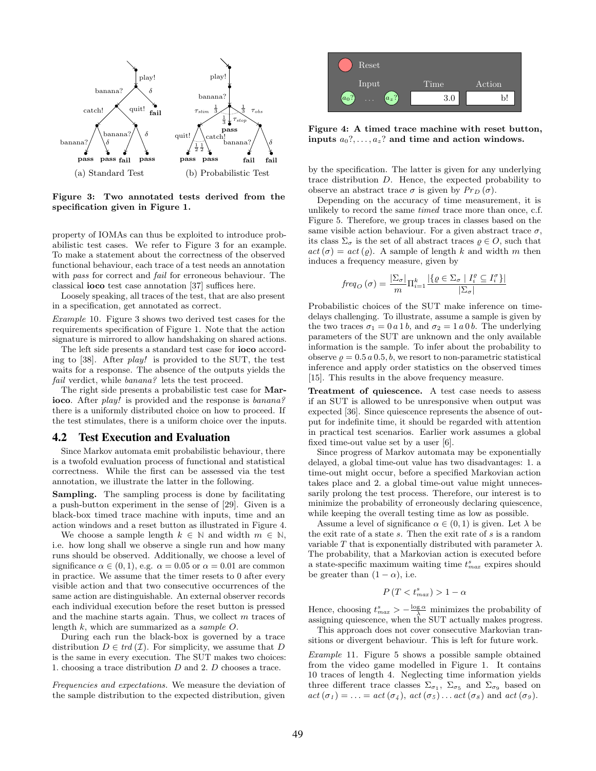

Figure 3: Two annotated tests derived from the specification given in Figure 1.

property of IOMAs can thus be exploited to introduce probabilistic test cases. We refer to Figure 3 for an example. To make a statement about the correctness of the observed functional behaviour, each trace of a test needs an annotation with pass for correct and *fail* for erroneous behaviour. The classical ioco test case annotation [37] suffices here.

Loosely speaking, all traces of the test, that are also present in a specification, get annotated as correct.

Example 10. Figure 3 shows two derived test cases for the requirements specification of Figure 1. Note that the action signature is mirrored to allow handshaking on shared actions.

The left side presents a standard test case for ioco according to [38]. After play! is provided to the SUT, the test waits for a response. The absence of the outputs yields the fail verdict, while banana? lets the test proceed.

The right side presents a probabilistic test case for Marioco. After *play!* is provided and the response is *banana?* there is a uniformly distributed choice on how to proceed. If the test stimulates, there is a uniform choice over the inputs.

#### 4.2 Test Execution and Evaluation

Since Markov automata emit probabilistic behaviour, there is a twofold evaluation process of functional and statistical correctness. While the first can be assessed via the test annotation, we illustrate the latter in the following.

Sampling. The sampling process is done by facilitating a push-button experiment in the sense of [29]. Given is a black-box timed trace machine with inputs, time and an action windows and a reset button as illustrated in Figure 4.

We choose a sample length  $k \in \mathbb{N}$  and width  $m \in \mathbb{N}$ , i.e. how long shall we observe a single run and how many runs should be observed. Additionally, we choose a level of significance  $\alpha \in (0, 1)$ , e.g.  $\alpha = 0.05$  or  $\alpha = 0.01$  are common in practice. We assume that the timer resets to 0 after every visible action and that two consecutive occurrences of the same action are distinguishable. An external observer records each individual execution before the reset button is pressed and the machine starts again. Thus, we collect m traces of length k, which are summarized as a sample O.

During each run the black-box is governed by a trace distribution  $D \in \text{trd}(\mathcal{I})$ . For simplicity, we assume that D is the same in every execution. The SUT makes two choices: 1. choosing a trace distribution D and 2. D chooses a trace.

Frequencies and expectations. We measure the deviation of the sample distribution to the expected distribution, given



Figure 4: A timed trace machine with reset button, inputs  $a_0$ ?, ...,  $a_z$ ? and time and action windows.

by the specification. The latter is given for any underlying trace distribution D. Hence, the expected probability to observe an abstract trace  $\sigma$  is given by  $Pr_D(\sigma)$ .

Depending on the accuracy of time measurement, it is unlikely to record the same timed trace more than once, c.f. Figure 5. Therefore, we group traces in classes based on the same visible action behaviour. For a given abstract trace  $\sigma$ , its class  $\Sigma_{\sigma}$  is the set of all abstract traces  $\rho \in O$ , such that  $act(\sigma) = act(\rho)$ . A sample of length k and width m then induces a frequency measure, given by

$$
freq_O(\sigma) = \frac{|\Sigma_{\sigma}|}{m} \prod_{i=1}^k \frac{|\{ \varrho \in \Sigma_{\sigma} \mid I_i^{\varrho} \subseteq I_i^{\sigma} \}|}{|\Sigma_{\sigma}|}
$$

Probabilistic choices of the SUT make inference on timedelays challenging. To illustrate, assume a sample is given by the two traces  $\sigma_1 = 0 a 1 b$ , and  $\sigma_2 = 1 a 0 b$ . The underlying parameters of the SUT are unknown and the only available information is the sample. To infer about the probability to observe  $\rho = 0.5 a 0.5, b$ , we resort to non-parametric statistical inference and apply order statistics on the observed times [15]. This results in the above frequency measure.

Treatment of quiescence. A test case needs to assess if an SUT is allowed to be unresponsive when output was expected [36]. Since quiescence represents the absence of output for indefinite time, it should be regarded with attention in practical test scenarios. Earlier work assumes a global fixed time-out value set by a user [6].

Since progress of Markov automata may be exponentially delayed, a global time-out value has two disadvantages: 1. a time-out might occur, before a specified Markovian action takes place and 2. a global time-out value might unnecessarily prolong the test process. Therefore, our interest is to minimize the probability of erroneously declaring quiescence, while keeping the overall testing time as low as possible.

Assume a level of significance  $\alpha \in (0,1)$  is given. Let  $\lambda$  be the exit rate of a state s. Then the exit rate of s is a random variable T that is exponentially distributed with parameter  $\lambda$ . The probability, that a Markovian action is executed before a state-specific maximum waiting time  $t_{max}^s$  expires should be greater than  $(1 - \alpha)$ , i.e.

$$
P(T < t_{max}^s) > 1 - \alpha
$$

Hence, choosing  $t_{max}^s > -\frac{\log \alpha}{\lambda}$  minimizes the probability of assigning quiescence, when the SUT actually makes progress.

This approach does not cover consecutive Markovian transitions or divergent behaviour. This is left for future work.

Example 11. Figure 5 shows a possible sample obtained from the video game modelled in Figure 1. It contains 10 traces of length 4. Neglecting time information yields three different trace classes  $\Sigma_{\sigma_1}$ ,  $\Sigma_{\sigma_5}$  and  $\Sigma_{\sigma_9}$  based on  $act(\sigma_1) = \ldots = act(\sigma_4), act(\sigma_5) \ldots act(\sigma_8)$  and  $act(\sigma_9)$ .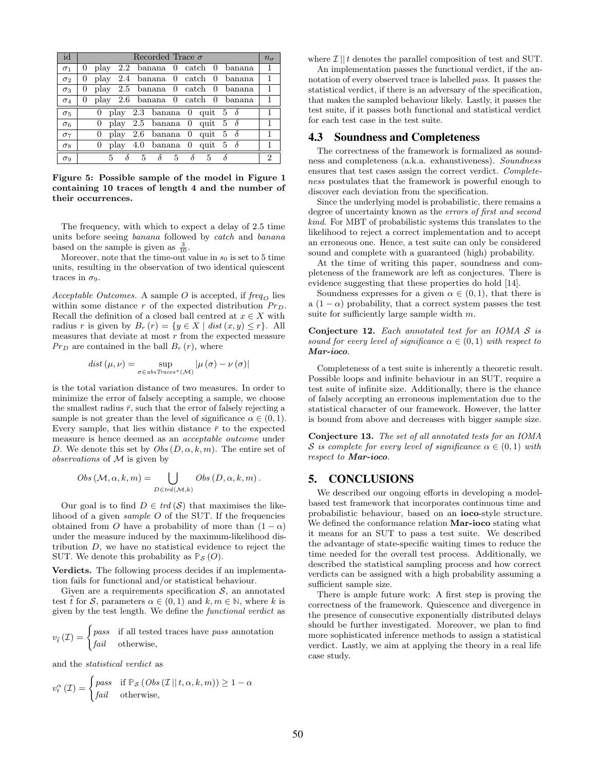| id                    | Recorded Trace $\sigma$                                      | $n_{\sigma}$ |
|-----------------------|--------------------------------------------------------------|--------------|
| $\sigma_1$            | 2.2 banana 0 catch 0 banana<br>0<br>play                     | 1            |
| $\sigma_2$            | play 2.4 banana 0 catch 0 banana<br>0                        | 1            |
| $\sigma_3$            | play 2.5 banana 0 catch 0 banana<br>$\theta$                 |              |
| $\sigma_4$            | play 2.6 banana 0 catch 0 banana<br>$\theta$                 |              |
| $\sigma_5$            | 0 play 2.3 banana 0 quit 5 $\delta$                          |              |
| $\sigma$ <sub>6</sub> | play 2.5 banana 0 quit 5 $\delta$<br>$\overline{0}$          | 1            |
| $\sigma_7$            | play 2.6 banana 0 quit 5 $\delta$<br>$\theta$                |              |
| $\sigma_8$            | play 4.0 banana 0 quit 5 $\delta$<br>0                       |              |
| $\sigma_9$            | $\delta^-$<br>$\delta$ 5<br>5.<br>$5 -$<br>$5 -$<br>$\delta$ | 2            |

Figure 5: Possible sample of the model in Figure 1 containing 10 traces of length 4 and the number of their occurrences.

The frequency, with which to expect a delay of 2.5 time units before seeing banana followed by catch and banana based on the sample is given as  $\frac{3}{10}$ .

Moreover, note that the time-out value in  $s_0$  is set to 5 time units, resulting in the observation of two identical quiescent traces in  $\sigma_9$ .

Acceptable Outcomes. A sample O is accepted, if  $freq<sub>O</sub>$  lies within some distance r of the expected distribution  $Pr<sub>D</sub>$ . Recall the definition of a closed ball centred at  $x \in X$  with radius r is given by  $B_r(r) = \{y \in X \mid dist(x, y) \le r\}.$  All measures that deviate at most  $r$  from the expected measure  $Pr_D$  are contained in the ball  $B_r(r)$ , where

$$
dist (\mu, \nu) = \sup_{\sigma \in abs\,Traces^*(\mathcal{M})} |\mu (\sigma) - \nu (\sigma)|
$$

is the total variation distance of two measures. In order to minimize the error of falsely accepting a sample, we choose the smallest radius  $\bar{r}$ , such that the error of falsely rejecting a sample is not greater than the level of significance  $\alpha \in (0,1)$ . Every sample, that lies within distance  $\bar{r}$  to the expected measure is hence deemed as an acceptable outcome under D. We denote this set by  $Obs(D, \alpha, k, m)$ . The entire set of observations of  $M$  is given by

$$
Obs(\mathcal{M}, \alpha, k, m) = \bigcup_{D \in trd(\mathcal{M}, k)} Obs(D, \alpha, k, m).
$$

Our goal is to find  $D \in \text{trd}(\mathcal{S})$  that maximises the likelihood of a given *sample O* of the SUT. If the frequencies obtained from O have a probability of more than  $(1 - \alpha)$ under the measure induced by the maximum-likelihood distribution  $D$ , we have no statistical evidence to reject the SUT. We denote this probability as  $\mathbb{P}_{\mathcal{S}}(O)$ .

Verdicts. The following process decides if an implementation fails for functional and/or statistical behaviour.

Given are a requirements specification  $S$ , an annotated test  $\hat{t}$  for  $\hat{\mathcal{S}}$ , parameters  $\alpha \in (0, 1)$  and  $k, m \in \mathbb{N}$ , where k is given by the test length. We define the functional verdict as

$$
v_{\hat{t}}(\mathcal{I}) = \begin{cases} \text{pass} & \text{if all tested traces have } \text{pass annotation} \\ \text{fail} & \text{otherwise,} \end{cases}
$$

and the statistical verdict as

$$
v_t^{\alpha}(\mathcal{I}) = \begin{cases} \text{pass} & \text{if } \mathbb{P}_{\mathcal{S}} \left( \text{Obs} \left( \mathcal{I} \mid t, \alpha, k, m \right) \right) \ge 1 - \alpha \\ \text{fail} & \text{otherwise,} \end{cases}
$$

where  $\mathcal{I} \parallel t$  denotes the parallel composition of test and SUT.

An implementation passes the functional verdict, if the annotation of every observed trace is labelled pass. It passes the statistical verdict, if there is an adversary of the specification, that makes the sampled behaviour likely. Lastly, it passes the test suite, if it passes both functional and statistical verdict for each test case in the test suite.

#### 4.3 Soundness and Completeness

The correctness of the framework is formalized as soundness and completeness (a.k.a. exhaustiveness). Soundness ensures that test cases assign the correct verdict. Completeness postulates that the framework is powerful enough to discover each deviation from the specification.

Since the underlying model is probabilistic, there remains a degree of uncertainty known as the errors of first and second kind. For MBT of probabilistic systems this translates to the likelihood to reject a correct implementation and to accept an erroneous one. Hence, a test suite can only be considered sound and complete with a guaranteed (high) probability.

At the time of writing this paper, soundness and completeness of the framework are left as conjectures. There is evidence suggesting that these properties do hold [14].

Soundness expresses for a given  $\alpha \in (0,1)$ , that there is a  $(1 - \alpha)$  probability, that a correct system passes the test suite for sufficiently large sample width  $m$ .

Conjecture 12. Each annotated test for an IOMA S is sound for every level of significance  $\alpha \in (0,1)$  with respect to Mar-ioco.

Completeness of a test suite is inherently a theoretic result. Possible loops and infinite behaviour in an SUT, require a test suite of infinite size. Additionally, there is the chance of falsely accepting an erroneous implementation due to the statistical character of our framework. However, the latter is bound from above and decreases with bigger sample size.

Conjecture 13. The set of all annotated tests for an IOMA S is complete for every level of significance  $\alpha \in (0,1)$  with respect to Mar-ioco.

### 5. CONCLUSIONS

We described our ongoing efforts in developing a modelbased test framework that incorporates continuous time and probabilistic behaviour, based on an ioco-style structure. We defined the conformance relation **Mar-ioco** stating what it means for an SUT to pass a test suite. We described the advantage of state-specific waiting times to reduce the time needed for the overall test process. Additionally, we described the statistical sampling process and how correct verdicts can be assigned with a high probability assuming a sufficient sample size.

There is ample future work: A first step is proving the correctness of the framework. Quiescence and divergence in the presence of consecutive exponentially distributed delays should be further investigated. Moreover, we plan to find more sophisticated inference methods to assign a statistical verdict. Lastly, we aim at applying the theory in a real life case study.